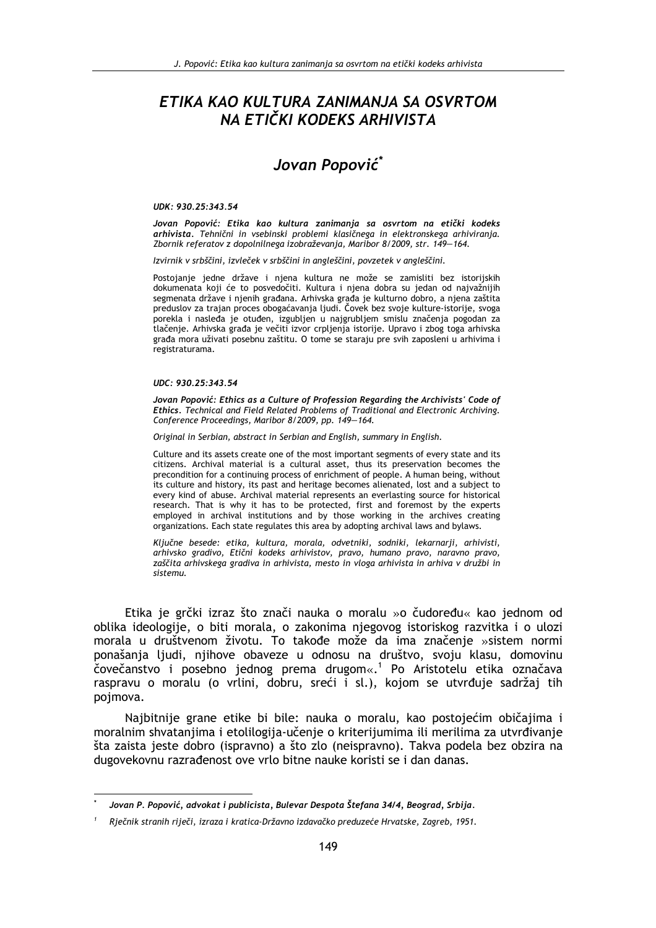# ETIKA KAO KULTURA ZANIMANJA SA OSVRTOM NA ETIČKI KODEKS ARHIVISTA

# Jovan Popović<sup>\*</sup>

### UDK: 930.25:343.54

Jovan Popović: Etika kao kultura zanimanja sa osvrtom na etički kodeks arhivista. Tehnični in vsebinski problemi klasičnega in elektronskega arhiviranja. Zbornik referatov z dopolnilnega izobraževanja, Maribor 8/2009, str. 149-164.

Izvirnik v srbščini, izvleček v srbščini in angleščini, povzetek v angleščini.

Postojanje jedne države i njena kultura ne može se zamisliti bez istorijskih dokumenata koji će to posvedočiti. Kultura i njena dobra su jedan od najvažnijih segmenata države i njenih građana. Arhivska građa je kulturno dobro, a njena zaštita preduslov za trajan proces obogaćavanja ljudi. Čovek bez svoje kulture-istorije, svoga porekla i nasleđa je otuđen, izgubljen u najgrubljem smislu značenja pogodan za tlačenje. Arhivska građa je večiti izvor crpljenja istorije. Upravo i zbog toga arhivska građa mora uživati posebnu zaštitu. O tome se staraju pre svih zaposleni u arhivima i registraturama.

## UDC: 930.25:343.54

Jovan Popović: Ethics as a Culture of Profession Regarding the Archivists' Code of Ethics. Technical and Field Related Problems of Traditional and Electronic Archiving. Conference Proceedings, Maribor 8/2009, pp. 149-164.

Original in Serbian, abstract in Serbian and English, summary in English.

Culture and its assets create one of the most important segments of every state and its citizens. Archival material is a cultural asset, thus its preservation becomes the precondition for a continuing process of enrichment of people. A human being, without its culture and history, its past and heritage becomes alienated, lost and a subject to every kind of abuse. Archival material represents an everlasting source for historical research. That is why it has to be protected, first and foremost by the experts employed in archival institutions and by those working in the archives creating organizations. Each state regulates this area by adopting archival laws and bylaws.

Ključne besede: etika, kultura, morala, odvetniki, sodniki, lekarnarji, arhivisti, arhivsko gradivo, Etični kodeks arhivistov, pravo, humano pravo, naravno pravo, zaščita arhivskega gradiva in arhivista, mesto in vloga arhivista in arhiva v družbi in sistemu.

Etika je grčki izraz što znači nauka o moralu »o čudoređu« kao jednom od oblika ideologije, o biti morala, o zakonima njegovog istoriskog razvitka i o ulozi morala u društvenom životu. To takođe može da ima značenje »sistem normi ponašanja ljudi, njihove obaveze u odnosu na društvo, svoju klasu, domovinu čovečanstvo i posebno jednog prema drugom«.<sup>1</sup> Po Aristotelu etika označava raspravu o moralu (o vrlini, dobru, sreći i sl.), kojom se utvrđuje sadržaj tih pojmova.

Najbitnije grane etike bi bile: nauka o moralu, kao postojećim običajima i moralnim shvatanjima i etolilogija-učenje o kriterijumima ili merilima za utvrđivanje šta zaista jeste dobro (ispravno) a što zlo (neispravno). Takva podela bez obzira na dugovekovnu razrađenost ove vrlo bitne nauke koristi se i dan danas.

Jovan P. Popović, advokat i publicista, Bulevar Despota Štefana 34/4, Beograd, Srbija.

Rječnik stranih riječi, izraza i kratica-Državno izdavačko preduzeće Hrvatske, Zagreb, 1951.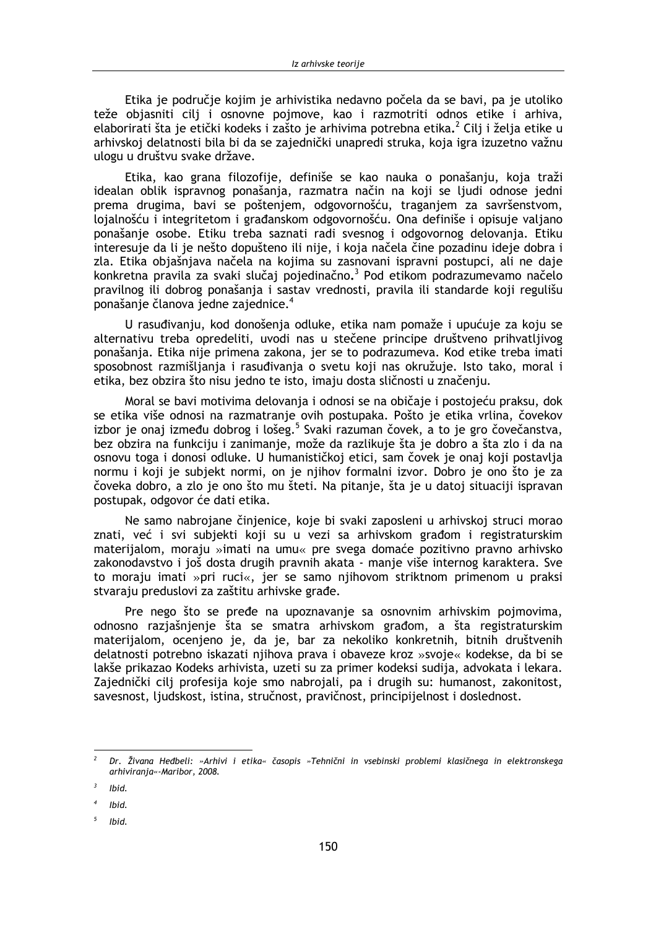Etika je područje kojim je arhivistika nedavno počela da se bavi, pa je utoliko teže objasniti cilj i osnovne pojmove, kao i razmotriti odnos etike i arhiva, elaborirati šta je etički kodeks i zašto je arhivima potrebna etika.<sup>2</sup> Cili i želja etike u arhivskoj delatnosti bila bi da se zajednički unapredi struka, koja igra izuzetno važnu ulogu u društvu svake države.

Etika, kao grana filozofije, definiše se kao nauka o ponašanju, koja traži idealan oblik ispravnog ponašanja, razmatra način na koji se ljudi odnose jedni prema drugima, bavi se poštenjem, odgovornošću, traganjem za savršenstvom, lojalnošću i integritetom i građanskom odgovornošću. Ona definiše i opisuje valjano ponašanje osobe. Etiku treba saznati radi svesnog i odgovornog delovanja. Etiku interesuje da li je nešto dopušteno ili nije, i koja načela čine pozadinu ideje dobra i zla. Etika objašnjava načela na kojima su zasnovani ispravni postupci, ali ne daje konkretna pravila za svaki slučaj pojedinačno.<sup>3</sup> Pod etikom podrazumevamo načelo pravilnog ili dobrog ponašanja i sastav vrednosti, pravila ili standarde koji regulišu ponašanje članova jedne zajednice.<sup>4</sup>

U rasuđivanju, kod donošenja odluke, etika nam pomaže i upućuje za koju se alternativu treba opredeliti, uvodi nas u stečene principe društveno prihvatljivog ponašanja. Etika nije primena zakona, jer se to podrazumeva. Kod etike treba imati sposobnost razmišljanja i rasuđivanja o svetu koji nas okružuje. Isto tako, moral i etika, bez obzira što nisu jedno te isto, imaju dosta sličnosti u značenju.

Moral se bavi motivima delovanja i odnosi se na običaje i postojeću praksu, dok se etika više odnosi na razmatranje ovih postupaka. Pošto je etika vrlina, čovekov izbor je onaj između dobrog i lošeg.<sup>5</sup> Svaki razuman čovek, a to je gro čovečanstva, bez obzira na funkciju i zanimanje, može da razlikuje šta je dobro a šta zlo i da na osnovu toga i donosi odluke. U humanističkoj etici, sam čovek je onaj koji postavlja normu i koji je subjekt normi, on je njihov formalni izvor. Dobro je ono što je za čoveka dobro, a zlo je ono što mu šteti. Na pitanje, šta je u datoj situaciji ispravan postupak, odgovor će dati etika.

Ne samo nabrojane činjenice, koje bi svaki zaposleni u arhivskoj struci morao znati, već i svi subjekti koji su u vezi sa arhivskom građom i registraturskim materijalom, moraju »imati na umu« pre svega domaće pozitivno pravno arhivsko zakonodavstvo i još dosta drugih pravnih akata - manje više internog karaktera. Sve to moraju imati »pri ruci«, jer se samo njihovom striktnom primenom u praksi stvaraju preduslovi za zaštitu arhivske građe.

Pre nego što se pređe na upoznavanje sa osnovnim arhivskim pojmovima, odnosno razjašnjenje šta se smatra arhivskom građom, a šta registraturskim materijalom, ocenjeno je, da je, bar za nekoliko konkretnih, bitnih društvenih delatnosti potrebno iskazati njihova prava i obaveze kroz »svoje« kodekse, da bi se lakše prikazao Kodeks arhivista, uzeti su za primer kodeksi sudija, advokata i lekara. Zajednički cilj profesija koje smo nabrojali, pa i drugih su: humanost, zakonitost, savesnost, ljudskost, istina, stručnost, pravičnost, principijelnost i doslednost.

Ibid.

Dr. Živana Heđbeli: »Arhivi i etika« časopis »Tehnični in vsebinski problemi klasičnega in elektronskega arhivirania«-Maribor, 2008.

Ibid.

Ibid.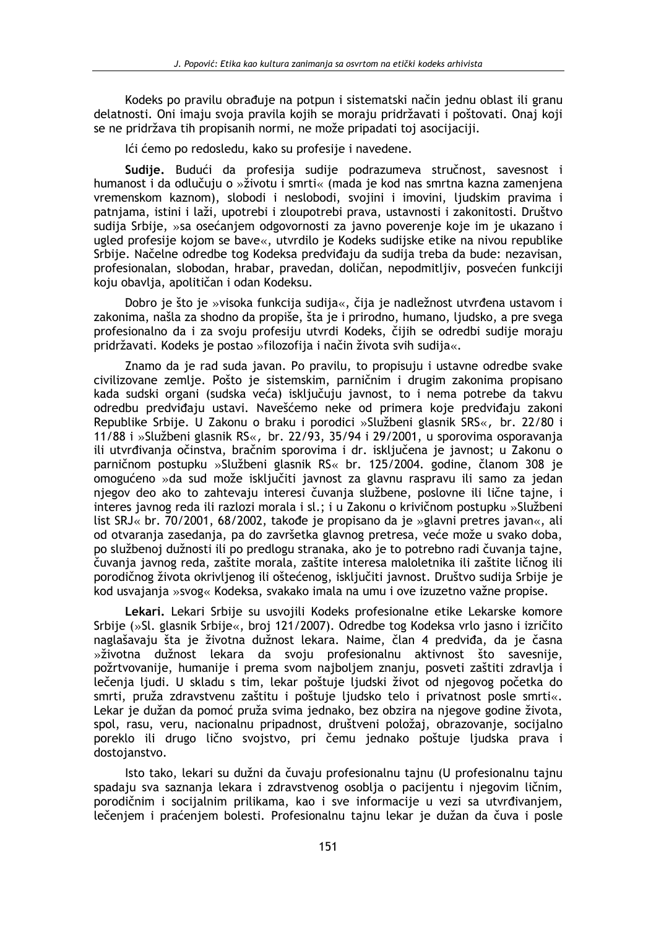Kodeks po pravilu obrađuje na potpun i sistematski način jednu oblast ili granu delatnosti. Oni imaju svoja pravila kojih se moraju pridržavati i poštovati. Onaj koji se ne pridržava tih propisanih normi, ne može pripadati toj asocijaciji.

Ići ćemo po redosledu, kako su profesije i navedene.

Sudije. Budući da profesija sudije podrazumeva stručnost, savesnost i humanost i da odlučuju o »životu i smrti« (mada je kod nas smrtna kazna zamenjena vremenskom kaznom), slobodi i neslobodi, svojini i imovini, ljudskim pravima i patnjama, istini i laži, upotrebi i zloupotrebi prava, ustavnosti i zakonitosti. Društvo sudija Srbije, »sa osećanjem odgovornosti za javno poverenje koje im je ukazano i ugled profesije kojom se bave«, utvrdilo je Kodeks sudijske etike na nivou republike Srbije. Načelne odredbe tog Kodeksa predviđaju da sudija treba da bude: nezavisan, profesionalan, slobodan, hrabar, pravedan, doličan, nepodmitljiv, posvećen funkciji koju obavlja, apolitičan i odan Kodeksu.

Dobro je što je »visoka funkcija sudija«, čija je nadležnost utvrđena ustavom i zakonima, našla za shodno da propiše, šta je i prirodno, humano, ljudsko, a pre svega profesionalno da i za svoju profesiju utvrdi Kodeks, čijih se odredbi sudije moraju pridržavati. Kodeks je postao »filozofija i način života svih sudija«.

Znamo da je rad suda javan. Po pravilu, to propisuju i ustavne odredbe svake civilizovane zemlje. Pošto je sistemskim, parničnim i drugim zakonima propisano kada sudski organi (sudska veća) isključuju javnost, to i nema potrebe da takvu odredbu predviđaju ustavi. Navešćemo neke od primera koje predviđaju zakoni Republike Srbije. U Zakonu o braku i porodici »Službeni glasnik SRS«, br. 22/80 i 11/88 i »Službeni glasnik RS«, br. 22/93, 35/94 i 29/2001, u sporovima osporavanja ili utvrđivanja očinstva, bračnim sporovima i dr. isključena je javnost; u Zakonu o parničnom postupku »Službeni glasnik RS« br. 125/2004. godine, članom 308 je omogućeno »da sud može iskliučiti javnost za glavnu raspravu ili samo za jedan niegov deo ako to zahtevaju interesi čuvanja službene, poslovne ili lične tajne, i interes javnog reda ili razlozi morala i sl.; i u Zakonu o krivičnom postupku »Službeni list SRJ« br. 70/2001, 68/2002, takođe je propisano da je »glavni pretres javan«, ali od otvaranja zasedanja, pa do završetka glavnog pretresa, veće može u svako doba, po službenoj dužnosti ili po predlogu stranaka, ako je to potrebno radi čuvanja tajne, čuvanja javnog reda, zaštite morala, zaštite interesa maloletnika ili zaštite ličnog ili porodičnog života okrivljenog ili oštećenog, isključiti javnost. Društvo sudija Srbije je kod usvajanja »svog« Kodeksa, svakako imala na umu i ove izuzetno važne propise.

Lekari, Lekari Srbije su usvojili Kodeks profesionalne etike Lekarske komore Srbije (»Sl. glasnik Srbije«, broj 121/2007). Odredbe tog Kodeksa vrlo jasno i izričito naglašavaju šta je životna dužnost lekara. Naime, član 4 predviđa, da je časna »životna dužnost lekara da svoju profesionalnu aktivnost što savesnije, požrtvovanije, humanije i prema svom najboljem znanju, posveti zaštiti zdravlja i lečenja ljudi. U skladu s tim, lekar poštuje ljudski život od njegovog početka do smrti, pruža zdravstvenu zaštitu i poštuje ljudsko telo i privatnost posle smrti«. Lekar je dužan da pomoć pruža svima jednako, bez obzira na njegove godine života, spol, rasu, veru, nacionalnu pripadnost, društveni položaj, obrazovanje, socijalno poreklo ili drugo lično svojstvo, pri čemu jednako poštuje ljudska prava i dostojanstvo.

Isto tako, lekari su dužni da čuvaju profesionalnu tajnu (U profesionalnu tajnu spadaju sva saznanja lekara i zdravstvenog osoblja o pacijentu i njegovim ličnim, porodičnim i socijalnim prilikama, kao i sve informacije u vezi sa utvrđivanjem, lečenjem i praćenjem bolesti. Profesionalnu tajnu lekar je dužan da čuva i posle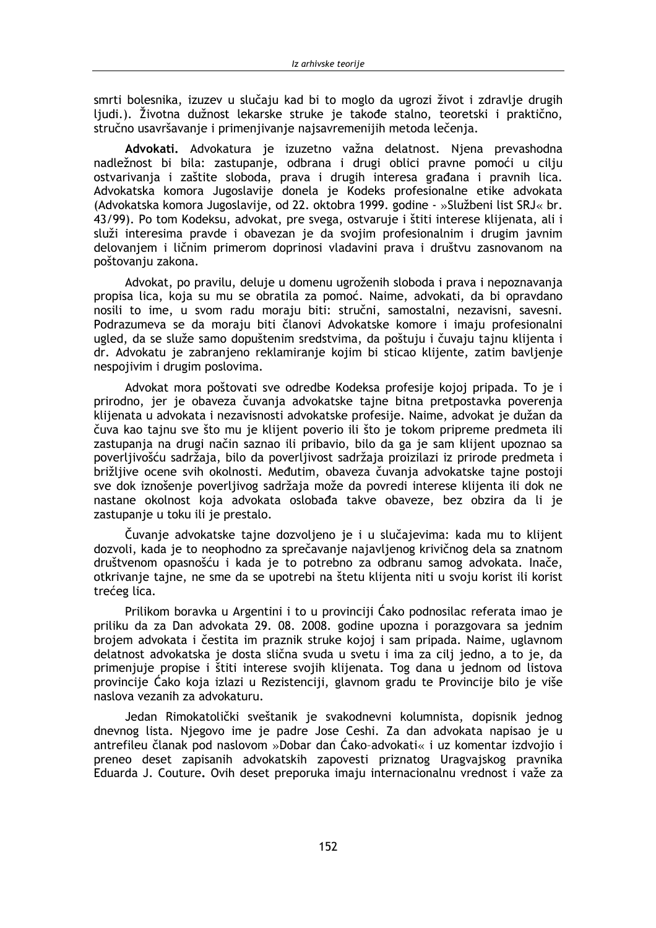smrti bolesnika, izuzev u slučaju kad bi to moglo da ugrozi život i zdravlje drugih ljudi.). Životna dužnost lekarske struke je takođe stalno, teoretski i praktično, stručno usavršavanje i primenjivanje najsavremenijih metoda lečenja.

Advokati. Advokatura je izuzetno važna delatnost. Njena prevashodna nadležnost bi bila: zastupanje, odbrana i drugi oblici pravne pomoći u cilju ostvarivanja i zaštite sloboda, prava i drugih interesa građana i pravnih lica. Advokatska komora Jugoslavije donela je Kodeks profesionalne etike advokata (Advokatska komora Jugoslavije, od 22. oktobra 1999. godine - »Službeni list SRJ« br. 43/99). Po tom Kodeksu, advokat, pre svega, ostvaruje i štiti interese klijenata, ali i služi interesima pravde i obavezan je da svojim profesionalnim i drugim javnim delovanjem i ličnim primerom doprinosi vladavini prava i društvu zasnovanom na poštovanju zakona.

Advokat, po pravilu, deluje u domenu ugroženih sloboda i prava i nepoznavanja propisa lica, koja su mu se obratila za pomoć. Naime, advokati, da bi opravdano nosili to ime, u svom radu moraju biti: stručni, samostalni, nezavisni, savesni. Podrazumeva se da moraju biti članovi Advokatske komore i imaju profesionalni ugled, da se služe samo dopuštenim sredstvima, da poštuju i čuvaju tajnu klijenta i dr. Advokatu je zabranjeno reklamiranje kojim bi sticao klijente, zatim bavljenje nespojivim i drugim poslovima.

Advokat mora poštovati sve odredbe Kodeksa profesije kojoj pripada. To je i prirodno, jer je obaveza čuvanja advokatske tajne bitna pretpostavka poverenja klijenata u advokata i nezavisnosti advokatske profesije. Naime, advokat je dužan da čuva kao tajnu sve što mu je klijent poverio ili što je tokom pripreme predmeta ili zastupanja na drugi način saznao ili pribavio, bilo da ga je sam klijent upoznao sa poverljivošću sadržaja, bilo da poverljivost sadržaja proizilazi iz prirode predmeta i brižljive ocene svih okolnosti. Međutim, obaveza čuvanja advokatske tajne postoji sve dok iznošenje poverljivog sadržaja može da povredi interese klijenta ili dok ne nastane okolnost koja advokata oslobađa takve obaveze, bez obzira da li je zastupanje u toku ili je prestalo.

Čuvanie advokatske taine dozvolieno je i u slučajevima: kada mu to klijent dozvoli, kada je to neophodno za sprečavanje najavljenog krivičnog dela sa znatnom društvenom opasnošću i kada je to potrebno za odbranu samog advokata. Inače, otkrivanje tajne, ne sme da se upotrebi na štetu klijenta niti u svoju korist ili korist trećeg lica.

Prilikom boravka u Argentini i to u provinciji Ćako podnosilac referata imao je priliku da za Dan advokata 29. 08. 2008. godine upozna i porazgovara sa jednim brojem advokata i čestita im praznik struke kojoj i sam pripada. Naime, uglavnom delatnost advokatska je dosta slična svuda u svetu i ima za cilj jedno, a to je, da primenjuje propise i štiti interese svojih klijenata. Tog dana u jednom od listova provincije Ćako koja izlazi u Rezistenciji, glavnom gradu te Provincije bilo je više naslova vezanih za advokaturu.

Jedan Rimokatolički sveštanik je svakodnevni kolumnista, dopisnik jednog dnevnog lista. Niegovo ime je padre Jose Ceshi. Za dan advokata napisao je u antrefileu članak pod naslovom »Dobar dan Ćako-advokati« i uz komentar izdvojio i preneo deset zapisanih advokatskih zapovesti priznatog Uragvajskog pravnika Eduarda J. Couture, Ovih deset preporuka imaju internacionalnu vrednost i važe za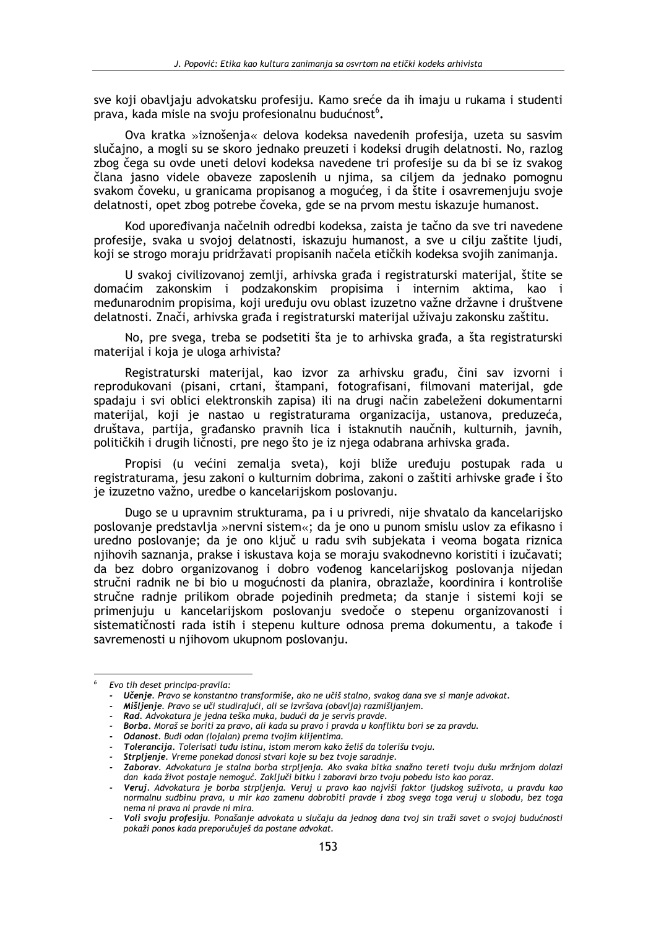sve koji obavljaju advokatsku profesiju. Kamo sreće da ih imaju u rukama i studenti prava, kada misle na svoju profesionalnu budućnost<sup>6</sup>.

Ova kratka »iznošenja« delova kodeksa navedenih profesija, uzeta su sasvim slučajno, a mogli su se skoro jednako preuzeti i kodeksi drugih delatnosti. No, razlog zbog čega su ovde uneti delovi kodeksa navedene tri profesije su da bi se iz svakog člana jasno videle obaveze zaposlenih u njima, sa ciljem da jednako pomognu svakom čoveku, u granicama propisanog a mogućeg, i da štite i osavremenjuju svoje delatnosti, opet zbog potrebe čoveka, gde se na prvom mestu iskazuje humanost.

Kod upoređivanja načelnih odredbi kodeksa, zaista je tačno da sve tri navedene profesije, svaka u svojoj delatnosti, iskazuju humanost, a sve u cilju zaštite ljudi, koji se strogo moraju pridržavati propisanih načela etičkih kodeksa svojih zanimanja.

U svakoj civilizovanoj zemlji, arhivska građa i registraturski materijal, štite se domaćim zakonskim i podzakonskim propisima i internim aktima, kao i međunarodnim propisima, koji uređuju ovu oblast izuzetno važne državne i društvene delatnosti. Znači, arhivska građa i registraturski materijal uživaju zakonsku zaštitu.

No, pre svega, treba se podsetiti šta je to arhivska građa, a šta registraturski materijal i koja je uloga arhivista?

Registraturski materijal, kao izvor za arhivsku građu, čini sav izvorni i reprodukovani (pisani, crtani, štampani, fotografisani, filmovani materijal, gde spadaju i svi oblici elektronskih zapisa) ili na drugi način zabeleženi dokumentarni materijal, koji je nastao u registraturama organizacija, ustanova, preduzeća, društava, partija, građansko pravnih lica i istaknutih naučnih, kulturnih, javnih, političkih i drugih ličnosti, pre nego što je iz njega odabrana arhivska građa.

Propisi (u većini zemalja sveta), koji bliže uređuju postupak rada u registraturama, jesu zakoni o kulturnim dobrima, zakoni o zaštiti arhivske građe i što je izuzetno važno, uredbe o kancelarijskom poslovanju.

Dugo se u upravnim strukturama, pa i u privredi, nije shvatalo da kancelarijsko poslovanje predstavlja »nervni sistem«; da je ono u punom smislu uslov za efikasno i uredno poslovanie: da je ono ključ u radu svih subjekata i veoma bogata riznica njihovih saznanja, prakse i iskustava koja se moraju svakodnevno koristiti i izučavati; da bez dobro organizovanog i dobro vođenog kancelarijskog poslovanja nijedan stručni radnik ne bi bio u mogućnosti da planira, obrazlaže, koordinira i kontroliše stručne radnje prilikom obrade pojedinih predmeta; da stanje i sistemi koji se primenjuju u kancelarijskom poslovanju svedoče o stepenu organizovanosti i sistematičnosti rada istih i stepenu kulture odnosa prema dokumentu, a takođe i savremenosti u njihovom ukupnom poslovanju.

Evo tih deset principa-pravila:

Učenje. Pravo se konstantno transformiše, ako ne učiš stalno, svakog dana sve si manje advokat.

Mišljenje. Pravo se uči studirajući, ali se izvršava (obavlja) razmišljanjem.

<sup>-</sup> Rad. Advokatura je jedna teška muka, budući da je servis pravde.

Borba. Moraš se boriti za pravo, ali kada su pravo i pravda u konfliktu bori se za pravdu.

Odanost. Budi odan (lojalan) prema tvojim klijentima.

Tolerancija. Tolerisati tuđu istinu, istom merom kako želiš da tolerišu tvoju.

<sup>-</sup> Strpljenje. Vreme ponekad donosi stvari koje su bez tvoje saradnje.

Zaborav. Advokatura je stalna borba strpljenja. Ako svaka bitka snažno tereti tvoju dušu mržniom dolazi dan kada život postaje nemoguć. Zaključi bitku i zaboravi brzo tvoju pobedu isto kao poraz.

Veruj. Advokatura je borba strpljenja. Veruj u pravo kao najviši faktor ljudskog suživota, u pravdu kao normalnu sudbinu prava, u mir kao zamenu dobrobiti pravde i zbog svega toga veruj u slobodu, bez toga nema ni prava ni pravde ni mira.

<sup>-</sup> Voli svoju profesiju. Ponašanje advokata u slučaju da jednog dana tvoj sin traži savet o svojoj budućnosti pokaži ponos kada preporučuješ da postane advokat.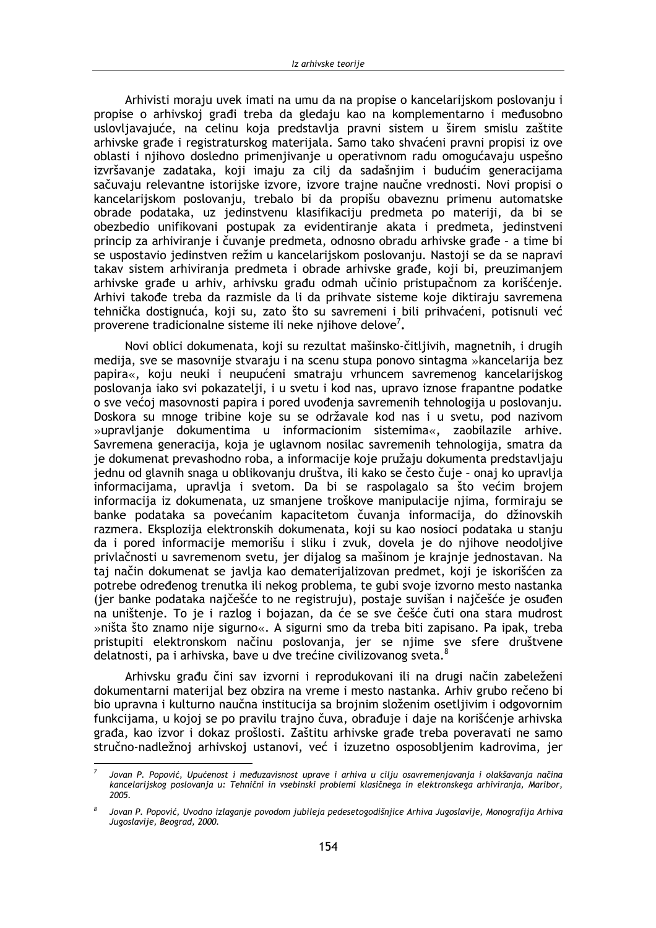Arhivisti moraju uvek imati na umu da na propise o kancelarijskom poslovaniu i propise o arhivskoj građi treba da gledaju kao na komplementarno i međusobno uslovljavajuće, na celinu koja predstavlja pravni sistem u širem smislu zaštite arhivske građe i registraturskog materijala. Samo tako shvaćeni pravni propisi iz ove oblasti i njihovo dosledno primenjivanje u operativnom radu omogućavaju uspešno izvršavanje zadataka, koji imaju za cilj da sadašnjim i budućim generacijama sačuvaju relevantne istorijske izvore, izvore trajne naučne vrednosti. Novi propisi o kancelarijskom poslovanju, trebalo bi da propišu obaveznu primenu automatske obrade podataka, uz jedinstvenu klasifikaciju predmeta po materiji, da bi se obezbedio unifikovani postupak za evidentiranje akata i predmeta, jedinstveni princip za arhiviranje i čuvanje predmeta, odnosno obradu arhivske građe - a time bi se uspostavio jedinstven režim u kancelarijskom poslovanju. Nastoji se da se napravi takav sistem arhiviranja predmeta i obrade arhivske građe, koji bi, preuzimanjem arhivske građe u arhiv, arhivsku građu odmah učinio pristupačnom za korišćenje. Arhivi takođe treba da razmisle da li da prihvate sisteme koje diktiraju savremena tehnička dostignuća, koji su, zato što su savremeni i bili prihvaćeni, potisnuli već proverene tradicionalne sisteme ili neke njihove delove<sup>7</sup>.

Novi oblici dokumenata, koji su rezultat mašinsko-čitljivih, magnetnih, i drugih medija, sve se masovnije stvaraju i na scenu stupa ponovo sintagma »kancelarija bez papira«, koju neuki i neupućeni smatraju vrhuncem savremenog kancelarijskog poslovanja iako svi pokazatelji, i u svetu i kod nas, upravo iznose frapantne podatke o sve većoj masovnosti papira i pored uvođenja savremenih tehnologija u poslovanju. Doskora su mnoge tribine koje su se održavale kod nas i u svetu, pod nazivom »upravlianie dokumentima u informacionim sistemima«, zaobilazile arhive. Savremena generacija, koja je uglavnom nosilac savremenih tehnologija, smatra da je dokumenat prevashodno roba, a informacije koje pružaju dokumenta predstavljaju jednu od glavnih snaga u oblikovanju društva, ili kako se često čuje - onaj ko upravlja informacijama, upravlja i svetom. Da bi se raspolagalo sa što većim brojem informacija iz dokumenata, uz smanjene troškove manipulacije nijma, formiraju se banke podataka sa povećanim kapacitetom čuvania informacija, do džinovskih razmera. Eksplozija elektronskih dokumenata, koji su kao nosioci podataka u stanju da i pored informacije memorišu i sliku i zvuk, dovela je do njihove neodoljive privlačnosti u savremenom svetu, jer dijalog sa mašinom je krajnje jednostavan. Na taj način dokumenat se javlja kao dematerijalizovan predmet, koji je iskorišćen za potrebe određenog trenutka ili nekog problema, te gubi svoje izvorno mesto nastanka (jer banke podataka najčešće to ne registruju), postaje suvišan i najčešće je osuđen na uništenje. To je i razlog i bojazan, da će se sve češće čuti ona stara mudrost »ništa što znamo nije sigurno«. A sigurni smo da treba biti zapisano. Pa ipak, treba pristupiti elektronskom načinu poslovanja, jer se njime sve sfere društvene delatnosti, pa i arhivska, bave u dve trećine civilizovanog sveta.

Arhivsku građu čini sav izvorni i reprodukovani ili na drugi način zabeleženi dokumentarni materijal bez obzira na vreme i mesto nastanka. Arhiv grubo rečeno bi bio upravna i kulturno naučna institucija sa brojnim složenim osetljivim i odgovornim funkcijama, u kojoj se po pravilu trajno čuva, obrađuje i daje na korišćenje arhivska građa, kao izvor i dokaz prošlosti. Zaštitu arhivske građe treba poveravati ne samo stručno-nadležnoj arhivskoj ustanovi, već i izuzetno osposobljenim kadrovima, jer

Jovan P. Popović, Upućenost i međuzavisnost uprave i arhiva u cilju osavremenjavanja i olakšavanja načina kancelarijskog poslovanja u: Tehnični in vsebinski problemi klasičnega in elektronskega arhiviranja, Maribor, 2005

Jovan P. Popović, Uvodno izlaganje povodom jubileja pedesetogodišnjice Arhiva Jugoslavije, Monografija Arhiva Jugoslavije, Beograd, 2000.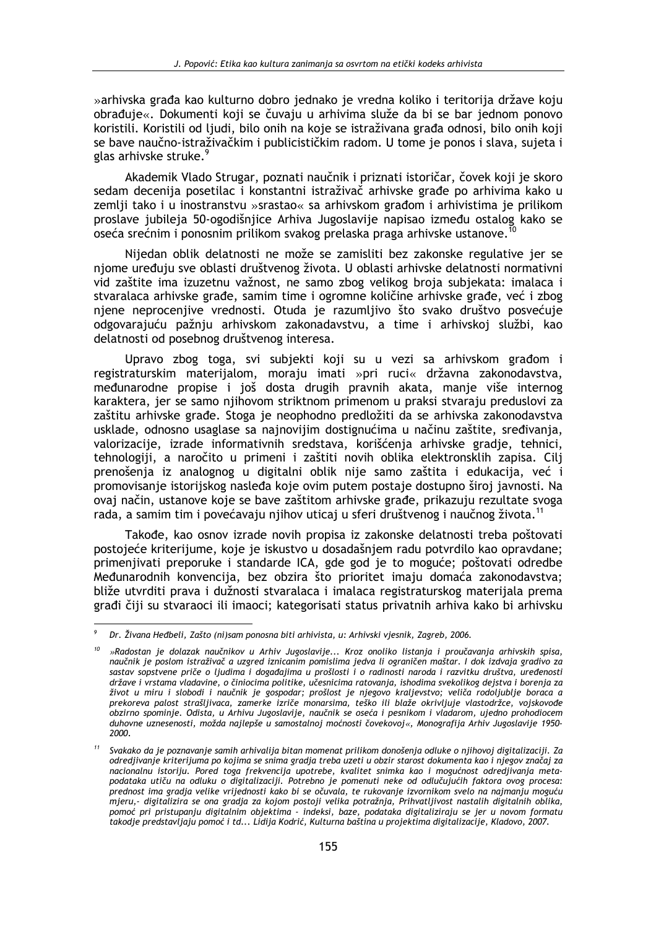»arhivska građa kao kulturno dobro jednako je vredna koliko i teritorija države koju obrađuje«. Dokumenti koji se čuvaju u arhivima služe da bi se bar jednom ponovo koristili. Koristili od liudi, bilo onih na koje se istraživana građa odnosi, bilo onih koji se bave naučno-istraživačkim i publicističkim radom. U tome je ponos i slava, sujeta i glas arhivske struke.<sup>9</sup>

Akademik Vlado Strugar, poznati naučnik i priznati istoričar, čovek koji je skoro sedam decenija posetilac i konstantni istraživač arhivske građe po arhivima kako u zemlji tako i u inostranstvu »srastao« sa arhivskom građom i arhivistima je prilikom proslave jubileja 50-ogodišnjice Arhiva Jugoslavije napisao između ostalog kako se oseća srećnim i ponosnim prilikom svakog prelaska praga arhivske ustanove.

Nijedan oblik delatnosti ne može se zamisliti bez zakonske regulative jer se njome uređuju sve oblasti društvenog života. U oblasti arhivske delatnosti normativni vid zaštite ima izuzetnu važnost, ne samo zbog velikog broja subjekata: imalaca i stvaralaca arhivske građe, samim time i ogromne količine arhivske građe, već i zbog njene neprocenjive vrednosti. Otuda je razumljivo što svako društvo posvećuje odgovarajuću pažnju arhivskom zakonadavstvu, a time i arhivskoj službi, kao delatnosti od posebnog društvenog interesa.

Upravo zbog toga, svi subjekti koji su u vezi sa arhivskom građom i registraturskim materijalom, moraju imati »pri ruci« državna zakonodavstva, međunarodne propise i još dosta drugih pravnih akata, manje više internog karaktera, jer se samo njihovom striktnom primenom u praksi stvaraju preduslovi za zaštitu arhivske građe. Stoga je neophodno predložiti da se arhivska zakonodavstva usklade, odnosno usaglase sa najnovijim dostignućima u načinu zaštite, sređivanja, valorizacije, izrade informativnih sredstava, korišćenja arhivske gradje, tehnici, tehnologiji, a naročito u primeni i zaštiti novih oblika elektronsklih zapisa. Cilj prenošenja iz analognog u digitalni oblik nije samo zaštita i edukacija, već i promovisanje istorijskog nasleđa koje ovim putem postaje dostupno široj javnosti. Na ovaj način, ustanove koje se bave zaštitom arhivske građe, prikazuju rezultate svoga rada, a samim tim i povećavaju njihov uticaj u sferi društvenog i naučnog života.<sup>11</sup>

Takođe, kao osnov izrade novih propisa iz zakonske delatnosti treba poštovati postojeće kriterijume, koje je iskustvo u dosadašnjem radu potvrdilo kao opravdane; primeniivati preporuke i standarde ICA, gde god je to moguće; poštovati odredbe Međunarodnih konvencija, bez obzira što prioritet imaju domaća zakonodavstva; bliže utvrditi prava i dužnosti stvaralaca i imalaca registraturskog materijala prema građi čiji su stvaraoci ili imaoci; kategorisati status privatnih arhiva kako bi arhivsku

Dr. Živana Heđbeli, Zašto (ni)sam ponosna biti arhivista, u: Arhivski vjesnik, Zagreb, 2006.

<sup>»</sup>Radostan je dolazak naučnikov u Arhiv Jugoslavije... Kroz onoliko listanja i proučavanja arhivskih spisa, naučnik je poslom istraživač a uzgred iznicanim pomislima jedva li ograničen maštar. I dok izdvaja gradivo za sastav sopstvene priče o ljudima i događajima u prošlosti i o radinosti naroda i razvitku društva. uređenosti države i vrstama vladavine, o činiocima politike, učesnicima ratovanja, ishodima svekolikog dejstva i borenja za život u miru i slobodi i naučnik je gospodar; prošlost je njegovo kraljevstvo; veliča rodoljublje boraca a prekoreva palost strašljivaca, zamerke izriče monarsima, teško ili blaže okrivljuje vlastodržce, vojskovođe obzirno spominje. Odista, u Arhivu Jugoslavije, naučnik se oseća i pesnikom i vladarom, ujedno prohodiocem duhovne uznesenosti, možda najlepše u samostalnoj moćnosti čovekovoj«, Monografija Arhiv Jugoslavije 1950- $2000$ 

Svakako da je poznavanje samih arhivalija bitan momenat prilikom donošenja odluke o njihovoj digitalizaciji. Za odredjivanje kriterijuma po kojima se snima gradja treba uzeti u obzir starost dokumenta kao i njegov značaj za nacionalnu istoriju. Pored toga frekvencija upotrebe, kvalitet snimka kao i mogućnost odredjivanja metapodataka utiču na odluku o digitalizaciji. Potrebno je pomenuti neke od odlučujućih faktora ovog procesa: prednost ima gradja velike vrijednosti kako bi se očuvala, te rukovanje izvornikom svelo na najmanju moguću mjeru, digitalizira se ona gradja za kojom postoji velika potražnja, Prihvatljivost nastalih digitalnih oblika, pomoć pri pristupanju digitalnim objektima - indeksi, baze, podataka digitaliziraju se jer u novom formatu takodje predstavljaju pomoć i td... Lidija Kodrić, Kulturna baština u projektima digitalizacije, Kladovo, 2007.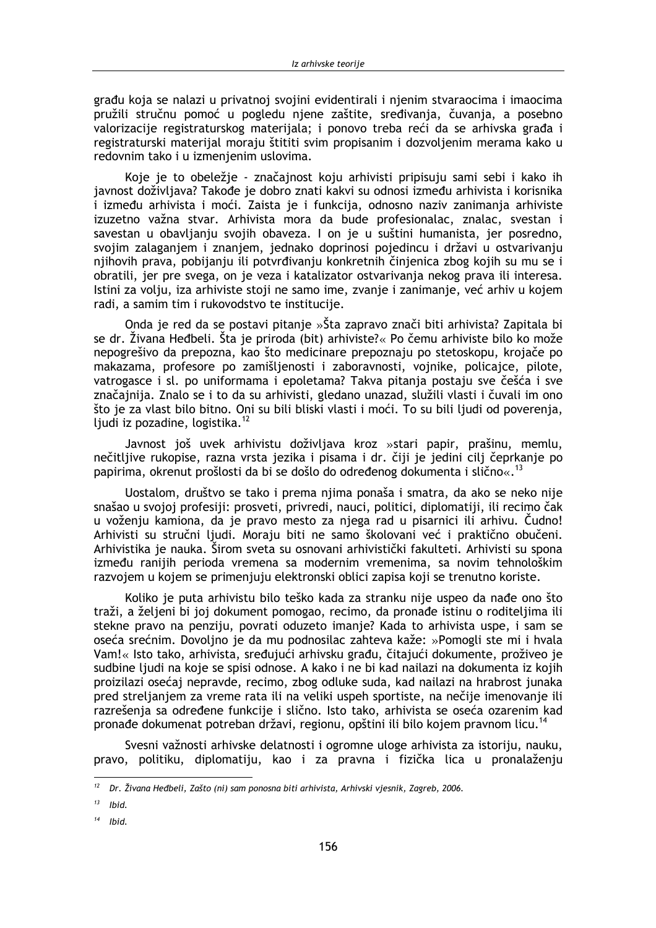građu koja se nalazi u privatnoj svojini evidentirali i njenim stvaraocima i imaocima pružili stručnu pomoć u pogledu njene zaštite, sređivanja, čuvanja, a posebno valorizacije registraturskog materijala; i ponovo treba reći da se arhivska građa i registraturski materijal moraju štititi svim propisanim i dozvoljenim merama kako u redovnim tako i u izmenjenim uslovima.

Koje je to obeležje - značajnost koju arhivisti pripisuju sami sebi i kako ih javnost doživljava? Takođe je dobro znati kakvi su odnosi između arhivista i korisnika i između arhivista i moći. Zaista je i funkcija, odnosno naziv zanimanja arhiviste izuzetno važna stvar. Arhivista mora da bude profesionalac, znalac, svestan i savestan u obavljanju svojih obaveza. I on je u suštini humanista, jer posredno, svojim zalaganjem i znanjem, jednako doprinosi pojedincu i državi u ostvarivanju njihovih prava, pobijanju ili potvrđivanju konkretnih činjenica zbog kojih su mu se i obratili, jer pre svega, on je veza i katalizator ostvarivanja nekog prava ili interesa. Istini za volju, iza arhiviste stoji ne samo ime, zvanje i zanimanje, već arhiv u kojem radi, a samim tim i rukovodstvo te institucije.

Onda je red da se postavi pitanje »Šta zapravo znači biti arhivista? Zapitala bi se dr. Živana Heđbeli. Šta je priroda (bit) arhiviste?« Po čemu arhiviste bilo ko može nepogrešivo da prepozna, kao što medicinare prepoznaju po stetoskopu, krojače po makazama, profesore po zamišljenosti i zaboravnosti, vojnike, policajce, pilote, vatrogasce i sl. po uniformama i epoletama? Takva pitanja postaju sve češća i sve značajnija. Znalo se i to da su arhivisti, gledano unazad, služili vlasti i čuvali im ono što je za vlast bilo bitno. Oni su bili bliski vlasti i moći. To su bili ljudi od poverenja, ljudi iz pozadine, logistika.<sup>12</sup>

Javnost još uvek arhivistu doživljava kroz »stari papir, prašinu, memlu, nečitljive rukopise, razna vrsta jezika i pisama i dr. čiji je jedini cilj čeprkanje po papirima, okrenut prošlosti da bi se došlo do određenog dokumenta i slično«.<sup>13</sup>

Uostalom, društvo se tako i prema njima ponaša i smatra, da ako se neko nije snašao u svojoj profesiji: prosveti, privredi, nauci, politici, diplomatiji, ili recimo čak u voženju kamiona, da je pravo mesto za njega rad u pisarnici ili arhivu. Čudno! Arhivisti su stručni liudi. Moraju biti ne samo školovani već i praktično obučeni. Arhivistika je nauka. Širom sveta su osnovani arhivistički fakulteti. Arhivisti su spona između ranijih perioda vremena sa modernim vremenima, sa novim tehnološkim razvojem u kojem se primenjuju elektronski oblici zapisa koji se trenutno koriste.

Koliko je puta arhivistu bilo teško kada za stranku nije uspeo da nađe ono što traži, a željeni bi joj dokument pomogao, recimo, da pronađe istinu o roditeljima ili stekne pravo na penziju, povrati oduzeto imanje? Kada to arhivista uspe, i sam se oseća srećnim. Dovoljno je da mu podnosilac zahteva kaže: »Pomogli ste mi i hvala Vam!« Isto tako, arhivista, sređujući arhivsku građu, čitajući dokumente, proživeo je sudbine ljudi na koje se spisi odnose. A kako i ne bi kad nailazi na dokumenta iz kojih proizilazi osećaj nepravde, recimo, zbog odluke suda, kad nailazi na hrabrost junaka pred streljanjem za vreme rata ili na veliki uspeh sportiste, na nečije imenovanje ili razrešenja sa određene funkcije i slično. Isto tako, arhivista se oseća ozarenim kad pronađe dokumenat potreban državi, regionu, opštini ili bilo kojem pravnom licu.<sup>14</sup>

Svesni važnosti arhivske delatnosti i ogromne uloge arhivista za istoriju, nauku, pravo, politiku, diplomatiju, kao i za pravna i fizička lica u pronalaženju

 $12$ Dr. Živana Heđbeli, Zašto (ni) sam ponosna biti arhivista, Arhivski vjesnik, Zagreb, 2006.

<sup>13</sup> Ibid.

Ibid.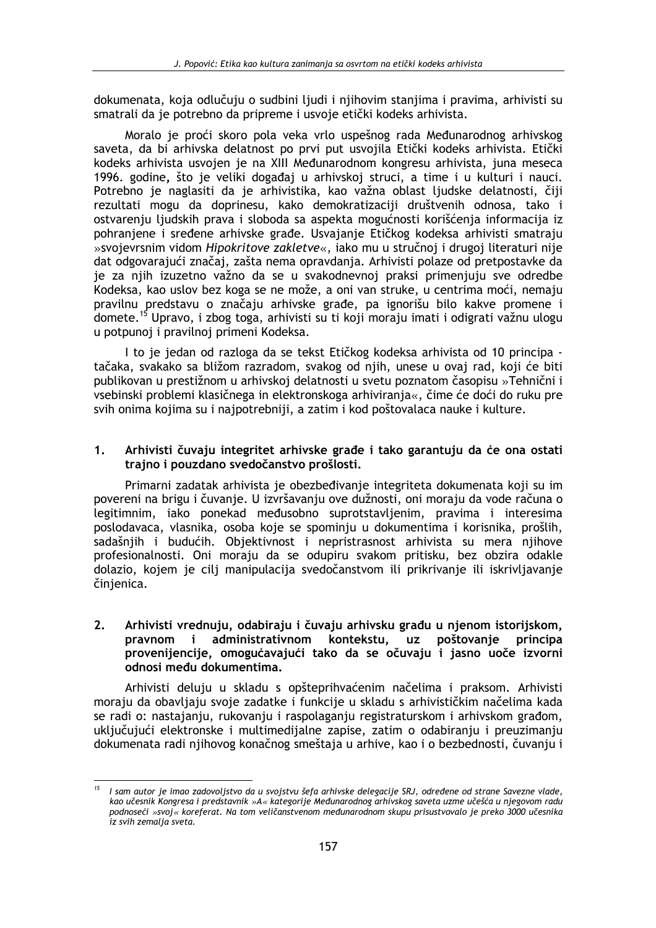dokumenata, koja odlučuju o sudbini ljudi i njihovim stanjima i pravima, arhivisti su smatrali da je potrebno da pripreme i usvoje etički kodeks arhivista.

Moralo je proći skoro pola veka vrlo uspešnog rada Međunarodnog arhivskog saveta, da bi arhivska delatnost po prvi put usvojila Etički kodeks arhivista. Etički kodeks arhivista usvojen je na XIII Međunarodnom kongresu arhivista, juna meseca 1996. godine, što je veliki događaj u arhivskoj struci, a time i u kulturi i nauci. Potrebno je naglasiti da je arhivistika, kao važna oblast ljudske delatnosti, čiji rezultati mogu da doprinesu, kako demokratizaciji društvenih odnosa, tako i ostvarenju ljudskih prava i sloboda sa aspekta mogućnosti korišćenja informacija iz pohranjene i sređene arhivske građe. Usvajanje Etičkog kodeksa arhivisti smatraju »svojevrsnim vidom Hipokritove zakletve«, iako mu u stručnoj i drugoj literaturi nije dat odgovarajući značaj, zašta nema opravdanja. Arhivisti polaze od pretpostavke da je za njih izuzetno važno da se u svakodnevnoj praksi primenjuju sve odredbe Kodeksa, kao uslov bez koga se ne može, a oni van struke, u centrima moći, nemaju pravilnu predstavu o značaju arhivske građe, pa ignorišu bilo kakve promene i domete.<sup>15</sup> Upravo, i zbog toga, arhivisti su ti koji moraju imati i odigrati važnu ulogu u potpunoj i pravilnoj primeni Kodeksa.

I to je jedan od razloga da se tekst Etičkog kodeksa arhivista od 10 principa tačaka, svakako sa bližom razradom, svakog od njih, unese u ovaj rad, koji će biti publikovan u prestižnom u arhivskoj delatnosti u svetu poznatom časopisu »Tehnični i vsebinski problemi klasičnega in elektronskoga arhiviranja«, čime će doći do ruku pre svih onima kojima su i najpotrebniji, a zatim i kod poštovalaca nauke i kulture.

#### $1.$ Arhivisti čuvaju integritet arhivske građe i tako garantuju da će ona ostati trajno i pouzdano svedočanstvo prošlosti.

Primarni zadatak arhivista je obezbeđivanje integriteta dokumenata koji su im povereni na brigu i čuvanje. U izvršavanju ove dužnosti, oni moraju da vode računa o legitimnim, jako ponekad međusobno suprotstavljenim, pravima i interesima poslodavaca, vlasnika, osoba koje se spominju u dokumentima i korisnika, prošlih, sadašnijh i budućih. Objektivnost i nepristrasnost arhivista su mera nijhove profesionalnosti. Oni moraju da se odupiru svakom pritisku, bez obzira odakle dolazio, kojem je cili manipulacija svedočanstvom ili prikrivanje ili iskrivljavanje činjenica.

#### $2.$ Arhivisti vrednuju, odabiraju i čuvaju arhivsku građu u njenom istorijskom, pravnom i administrativnom kontekstu, uz poštovanje principa provenijencije, omogućavajući tako da se očuvaju i jasno uoče izvorni odnosi među dokumentima.

Arhivisti deluju u skladu s opšteprihvaćenim načelima i praksom. Arhivisti moraju da obavljaju svoje zadatke i funkcije u skladu s arhivističkim načelima kada se radi o: nastajanju, rukovanju i raspolaganju registraturskom i arhivskom građom, uključujući elektronske i multimedijalne zapise, zatim o odabiranju i preuzimanju dokumenata radi njihovog konačnog smeštaja u arhive, kao i o bezbednosti, čuvanju i

<sup>&</sup>lt;sup>15</sup> I sam autor je imao zadovoljstvo da u svojstvu šefa arhivske delegacije SRJ, određene od strane Savezne vlade, kao učesnik Kongresa i predstavnik »A« kategorije Međunarodnog arhivskog saveta uzme učešća u njegovom radu podnoseći »svoj« koreferat. Na tom veličanstvenom međunarodnom skupu prisustvovalo je preko 3000 učesnika iz svih zemalja sveta.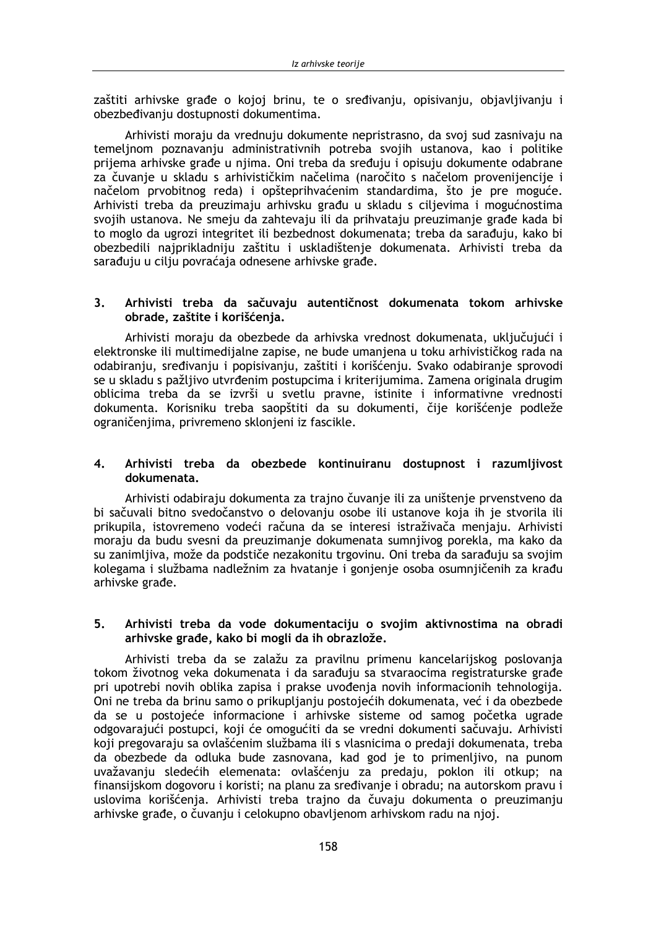zaštiti arhivske građe o kojoj brinu, te o sređivanju, opisivanju, objavlijvanju i obezbeđivanju dostupnosti dokumentima.

Arhivisti moraju da vrednuju dokumente nepristrasno, da svoj sud zasnivaju na temeljnom poznavanju administrativnih potreba svojih ustanova, kao i politike prijema arhivske građe u njima. Oni treba da sređuju i opisuju dokumente odabrane za čuvanje u skladu s arhivističkim načelima (naročito s načelom provenijencije i načelom prvobitnog reda) i opšteprihvaćenim standardima, što je pre moguće. Arhivisti treba da preuzimaju arhivsku građu u skladu s ciljevima i mogućnostima svojih ustanova. Ne smeju da zahtevaju ili da prihvataju preuzimanje građe kada bi to moglo da ugrozi integritet ili bezbednost dokumenata; treba da sarađuju, kako bi obezbedili najprikladniju zaštitu i uskladištenje dokumenata. Arhivisti treba da sarađuju u cilju povraćaja odnesene arhivske građe.

#### $3<sub>1</sub>$ Arhivisti treba da sačuvaju autentičnost dokumenata tokom arhivske obrade, zaštite i korišćenja.

Arhivisti moraju da obezbede da arhivska vrednost dokumenata, uključujući i elektronske ili multimedijalne zapise, ne bude umanjena u toku arhivističkog rada na odabiranju, sređivanju i popisivanju, zaštiti i korišćenju. Svako odabiranje sprovodi se u skladu s pažljivo utvrđenim postupcima i kriterijumima. Zamena originala drugim oblicima treba da se izvrši u svetlu pravne, istinite i informativne vrednosti dokumenta. Korisniku treba saopštiti da su dokumenti, čije korišćenje podleže ograničenjima, privremeno sklonjeni iz fascikle.

#### $4.$ Arhivisti treba da obezbede kontinuiranu dostupnost i razumljivost dokumenata.

Arhivisti odabiraju dokumenta za trajno čuvanje ili za uništenje prvenstveno da bi sačuvali bitno svedočanstvo o delovanju osobe ili ustanove koja ih je stvorila ili prikupila, istovremeno vodeći računa da se interesi istraživača menjaju. Arhivisti moraju da budu svesni da preuzimanje dokumenata sumnjivog porekla, ma kako da su zanimlijva, može da podstiče nezakonitu trgovinu. Oni treba da sarađuju sa svojim kolegama i službama nadležnim za hvatanie i gonienie osoba osumniičenih za krađu arhivske građe.

#### $5<sub>1</sub>$ Arhivisti treba da vode dokumentaciju o svojim aktivnostima na obradi arhivske građe, kako bi mogli da ih obrazlože.

Arhivisti treba da se zalažu za pravilnu primenu kancelarijskog poslovanja tokom životnog veka dokumenata i da sarađuju sa stvaraocima registraturske građe pri upotrebi novih oblika zapisa i prakse uvođenja novih informacionih tehnologija. Oni ne treba da brinu samo o prikupljanju postojećih dokumenata, već i da obezbede da se u postojeće informacione i arhivske sisteme od samog početka ugrade odgovarajući postupci, koji će omogućiti da se vredni dokumenti sačuvaju. Arhivisti koji pregovaraju sa ovlašćenim službama ili s vlasnicima o predaji dokumenata, treba da obezbede da odluka bude zasnovana, kad god je to primenljivo, na punom uvažavanju sledećih elemenata: ovlašćenju za predaju, poklon ili otkup; na finansijskom dogovoru i koristi; na planu za sređivanje i obradu; na autorskom pravu i uslovima korišćenja. Arhivisti treba trajno da čuvaju dokumenta o preuzimanju arhivske građe, o čuvanju i celokupno obavljenom arhivskom radu na njoj.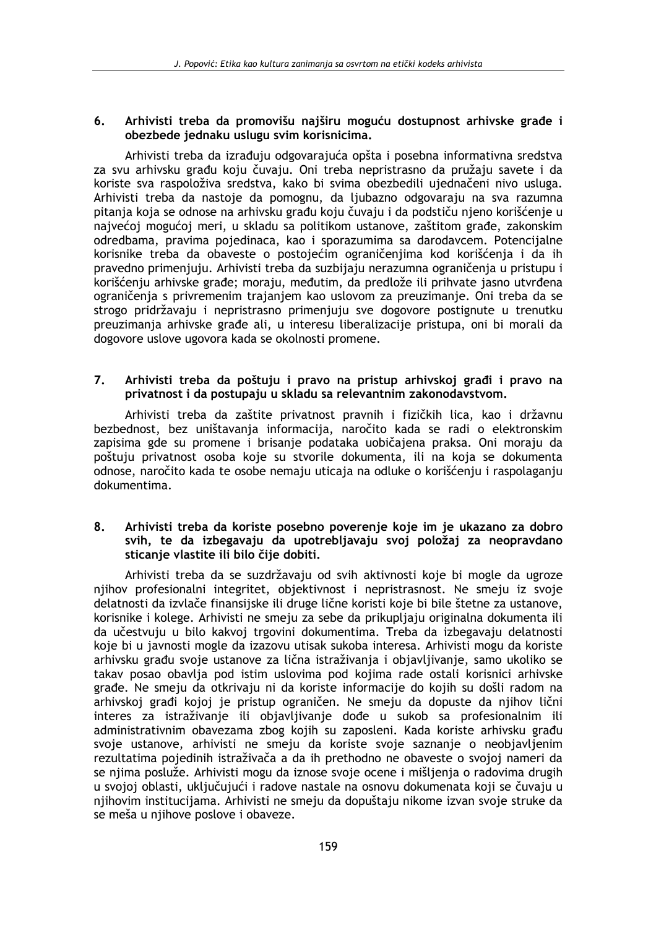#### Arhivisti treba da promovišu naiširu moguću dostupnost arhivske građe i 6. obezbede jednaku uslugu svim korisnicima.

Arhivisti treba da izrađuju odgovarajuća opšta i posebna informativna sredstva za svu arhivsku građu koju čuvaju. Oni treba nepristrasno da pružaju savete i da koriste sva raspoloživa sredstva, kako bi svima obezbedili ujednačeni nivo usluga. Arhivisti treba da nastoje da pomognu, da ljubazno odgovaraju na sva razumna pitanja koja se odnose na arhivsku građu koju čuvaju i da podstiču njeno korišćenje u najvećoj mogućoj meri, u skladu sa politikom ustanove, zaštitom građe, zakonskim odredbama, pravima pojedinaca, kao i sporazumima sa darodavcem. Potencijalne korisnike treba da obaveste o postojećim ograničenjima kod korišćenja i da ih pravedno primenjuju. Arhivisti treba da suzbijaju nerazumna ograničenja u pristupu i korišćenju arhivske građe; moraju, međutim, da predlože ili prihvate jasno utvrđena ograničenja s privremenim trajanjem kao uslovom za preuzimanje. Oni treba da se strogo pridržavaju i nepristrasno primenjuju sve dogovore postignute u trenutku preuzimania arhivske građe ali, u interesu liberalizacije pristupa, oni bi morali da dogovore uslove ugovora kada se okolnosti promene.

#### $\overline{7}$ . Arhivisti treba da poštuju i pravo na pristup arhivskoj građi i pravo na privatnost i da postupaju u skladu sa relevantnim zakonodavstvom.

Arhivisti treba da zaštite privatnost pravnih i fizičkih lica, kao i državnu bezbednost, bez uništavanja informacija, naročito kada se radi o elektronskim zapisima gde su promene i brisanje podataka uobičajena praksa. Oni moraju da poštuju privatnost osoba koje su stvorile dokumenta, ili na koja se dokumenta odnose, naročito kada te osobe nemaju uticaja na odluke o korišćenju i raspolaganju dokumentima.

### $\mathbf{R}$ Arhivisti treba da koriste posebno poverenje koje im je ukazano za dobro svih, te da izbegavaju da upotrebliavaju svoj položaj za neopravdano sticanie vlastite ili bilo čije dobiti.

Arhivisti treba da se suzdržavaju od svih aktivnosti koje bi mogle da ugroze njihov profesionalni integritet, objektivnost i nepristrasnost. Ne smeju iz svoje delatnosti da izvlače finansijske ili druge lične koristi koje bi bile štetne za ustanove, korisnike i kolege. Arhivisti ne smeju za sebe da prikupljaju originalna dokumenta ili da učestvuju u bilo kakvoj trgovini dokumentima. Treba da izbegavaju delatnosti koje bi u javnosti mogle da izazovu utisak sukoba interesa. Arhivisti mogu da koriste arhivsku građu svoje ustanove za lična istraživanja i objavljivanje, samo ukoliko se takav posao obavlja pod istim uslovima pod kojima rade ostali korisnici arhivske građe. Ne smeju da otkrivaju ni da koriste informacije do kojih su došli radom na arhivskoj građi kojoj je pristup ograničen. Ne smeju da dopuste da njihov lični interes za istraživanje ili objavljivanje dođe u sukob sa profesionalnim ili administrativnim obavezama zbog kojih su zaposleni. Kada koriste arhivsku građu svoje ustanove, arhivisti ne smeju da koriste svoje saznanje o neobjavljenim rezultatima pojedinih istraživača a da ih prethodno ne obaveste o svojoj nameri da se njima posluže. Arhivisti mogu da iznose svoje ocene i mišljenja o radovima drugih u svojoj oblasti, uključujući i radove nastale na osnovu dokumenata koji se čuvaju u njihovim institucijama. Arhivisti ne smeju da dopuštaju nikome izvan svoje struke da se meša u njihove poslove i obaveze.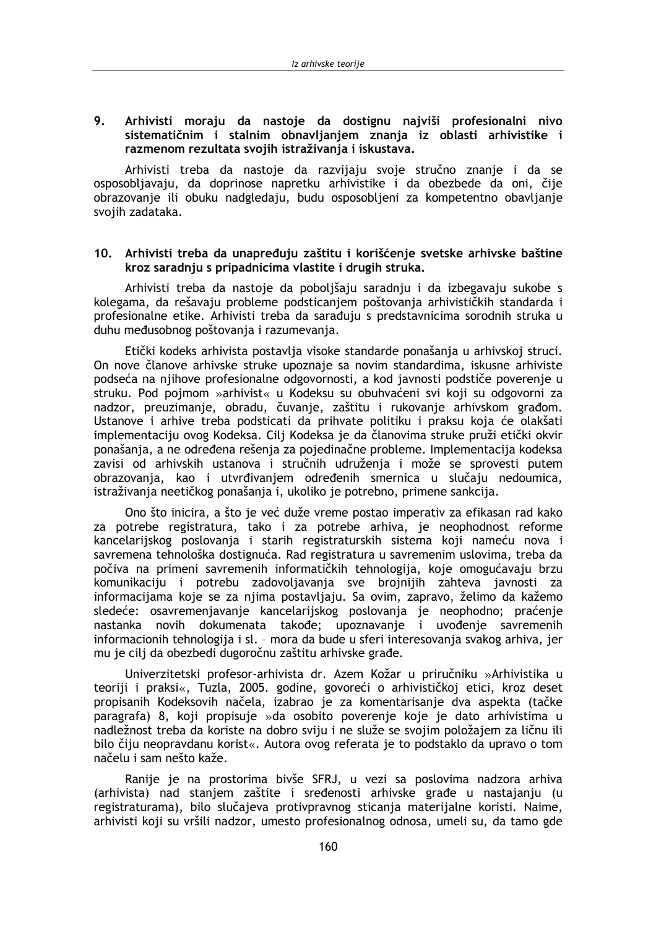## $\mathbf{Q}$ Arhivisti moraju da nastoje da dostignu najviši profesionalni nivo sistematičnim i stalnim obnavljanjem znanja iz oblasti arhivistike i razmenom rezultata svojih istraživanja i iskustava.

Arhivisti treba da nastoje da razvijaju svoje stručno znanje i da se osposobljavaju, da doprinose napretku arhivistike i da obezbede da oni, čije obrazovanje ili obuku nadgledaju, budu osposobljeni za kompetentno obavljanje svojih zadataka.

# 10. Arhivisti treba da unapređuju zaštitu i korišćenje svetske arhivske baštine kroz saradnju s pripadnicima vlastite i drugih struka.

Arhivisti treba da nastoje da pobolišaju saradnju i da izbegavaju sukobe s kolegama, da rešavaju probleme podsticanjem poštovanja arhivističkih standarda i profesionalne etike. Arhivisti treba da sarađuju s predstavnicima sorodnih struka u duhu međusobnog poštovanja i razumevanja.

Etički kodeks arhivista postavlja visoke standarde ponašanja u arhivskoj struci. On nove članove arhivske struke upoznaje sa novim standardima, iskusne arhiviste podseća na njihove profesionalne odgovornosti, a kod javnosti podstiče poverenje u struku. Pod pojmom »arhivist« u Kodeksu su obuhvaćeni svi koji su odgovorni za nadzor, preuzimanje, obradu, čuvanje, zaštitu i rukovanje arhivskom građom. Ustanove i arhive treba podsticati da prihvate politiku i praksu koja će olakšati implementaciju ovog Kodeksa. Cilj Kodeksa je da članovima struke pruži etički okvir ponašanja, a ne određena rešenja za pojedinačne probleme. Implementacija kodeksa zavisi od arhivskih ustanova i stručnih udruženja i može se sprovesti putem obrazovanja, kao i utvrđivanjem određenih smernica u slučaju nedoumica, istraživanja neetičkog ponašanja i, ukoliko je potrebno, primene sankcija.

Ono što inicira, a što je već duže vreme postao imperativ za efikasan rad kako za potrebe registratura, tako i za potrebe arhiva, je neophodnost reforme kancelarijskog poslovanja i starih registraturskih sistema koji nameću nova i savremena tehnološka dostignuća. Rad registratura u savremenim uslovima, treba da počiva na primeni savremenih informatičkih tehnologija, koje omogućavaju brzu komunikaciju i potrebu zadovoljavanja sve brojnijih zahteva javnosti za informacijama koje se za njima postavljaju. Sa ovim, zapravo, želimo da kažemo sledeće: osavremenjavanje kancelarijskog poslovanja je neophodno; praćenje nastanka novih dokumenata takođe; upoznavanje i uvođenje savremenih informacionih tehnologija i sl. - mora da bude u sferi interesovanja svakog arhiva, jer mu je cilj da obezbedi dugoročnu zaštitu arhivske građe.

Univerzitetski profesor-arhivista dr. Azem Kožar u priručniku »Arhivistika u teoriji i praksi«, Tuzla, 2005. godine, govoreći o arhivističkoj etici, kroz deset propisanih Kodeksovih načela, izabrao je za komentarisanje dva aspekta (tačke paragrafa) 8, koji propisuje »da osobito poverenje koje je dato arhivistima u nadležnost treba da koriste na dobro sviju i ne služe se svojim položajem za ličnu ili bilo čiju neopravdanu korist«. Autora ovog referata je to podstaklo da upravo o tom načelu i sam nešto kaže.

Ranije je na prostorima bivše SFRJ, u vezi sa poslovima nadzora arhiva (arhivista) nad stanjem zaštite i sređenosti arhivske građe u nastajanju (u registraturama), bilo slučajeva protivpravnog sticanja materijalne koristi. Naime, arhivisti koji su vršili nadzor, umesto profesionalnog odnosa, umeli su, da tamo gde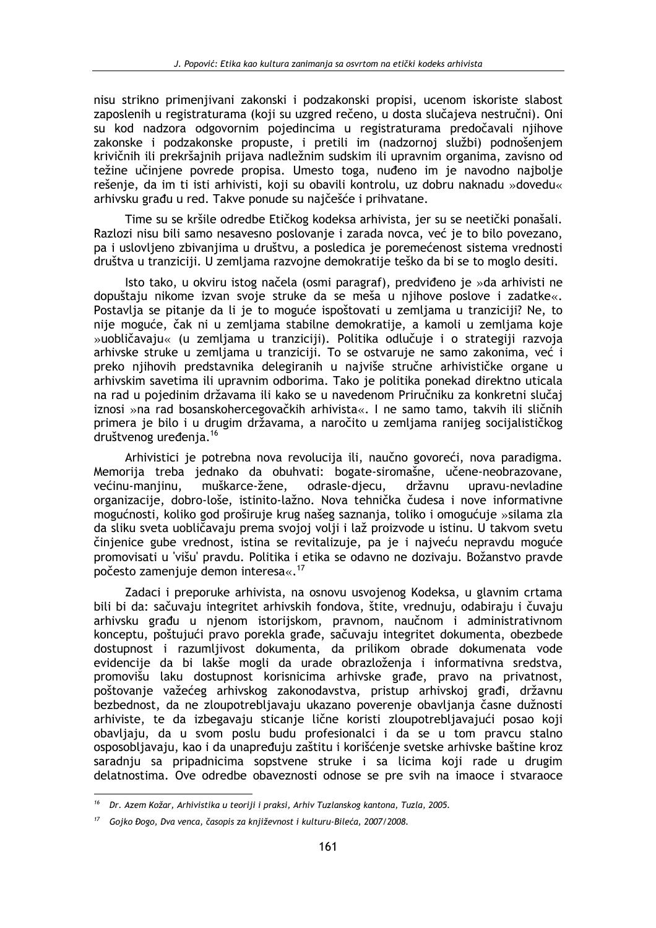nisu strikno primenjivani zakonski i podzakonski propisi, ucenom iskoriste slabost zaposlenih u registraturama (koji su uzgred rečeno, u dosta slučajeva nestručni). Oni su kod nadzora odgovornim pojedincima u registraturama predočavali njihove zakonske i podzakonske propuste, i pretili im (nadzornoj službi) podnošeniem krivičnih ili prekršajnih prijava nadležnim sudskim ili upravnim organima, zavisno od težine učinjene povrede propisa. Umesto toga, nuđeno im je navodno najbolje rešenje, da im ti isti arhivisti, koji su obavili kontrolu, uz dobru naknadu »dovedu« arhivsku građu u red. Takve ponude su najčešće i prihvatane.

Time su se kršile odredbe Etičkog kodeksa arhivista, jer su se neetički ponašali. Razlozi nisu bili samo nesavesno poslovanje i zarada novca, već je to bilo povezano, pa i uslovljeno zbivanjima u društvu, a posledica je poremećenost sistema vrednosti društva u tranziciji. U zemljama razvojne demokratije teško da bi se to moglo desiti.

Isto tako, u okviru istog načela (osmi paragraf), predviđeno je »da arhivisti ne dopuštaju nikome izvan svoje struke da se meša u njihove poslove i zadatke«. Postavlja se pitanje da li je to moguće ispoštovati u zemljama u tranziciji? Ne, to nije moguće, čak ni u zemljama stabilne demokratije, a kamoli u zemljama koje »uobličavaju« (u zemljama u tranziciji). Politika odlučuje i o strategiji razvoja arhivske struke u zemljama u tranziciji. To se ostvaruje ne samo zakonima, već i preko njihovih predstavnika delegiranih u najviše stručne arhivističke organe u arhivskim savetima ili upravnim odborima. Tako je politika ponekad direktno uticala na rad u pojedinim državama ili kako se u navedenom Priručniku za konkretni slučaj iznosi »na rad bosanskohercegovačkih arhivista«. I ne samo tamo, takvih ili sličnih primera je bilo i u drugim državama, a naročito u zemljama ranijeg socijalističkog društvenog uređenja.<sup>16</sup>

Arhivistici je potrebna nova revolucija ili, naučno govoreći, nova paradigma. Memorija treba jednako da obuhvati: bogate-siromašne, učene-neobrazovane, većinu-maniinu. muškarce-žene. odrasle-diecu. državnu upravu-nevladine organizacije, dobro-loše, istinito-lažno. Nova tehnička čudesa i nove informativne mogućnosti, koliko god proširuje krug našeg saznanja, toliko i omogućuje »silama zla da sliku sveta uobličavaju prema svojoj volji i laž proizvode u istinu. U takvom svetu činjenice gube vrednost, istina se revitalizuje, pa je i najveću nepravdu moguće promovisati u 'višu' pravdu. Politika i etika se odavno ne dozivaju. Božanstvo pravde počesto zamenjuje demon interesa«.<sup>17</sup>

Zadaci i preporuke arhivista, na osnovu usvojenog Kodeksa, u glavnim crtama bili bi da: sačuvaju integritet arhivskih fondova, štite, vrednuju, odabiraju i čuvaju arhivsku građu u njenom istorijskom, pravnom, naučnom i administrativnom konceptu, poštujući pravo porekla građe, sačuvaju integritet dokumenta, obezbede dostupnost i razumlijvost dokumenta, da prilikom obrade dokumenata vode evidencije da bi lakše mogli da urade obrazloženja i informativna sredstva, promovišu laku dostupnost korisnicima arhivske građe, pravo na privatnost, poštovanje važećeg arhivskog zakonodavstva, pristup arhivskoj građi, državnu bezbednost, da ne zloupotrebliavaju ukazano poverenje obavljanja časne dužnosti arhiviste, te da izbegavaju sticanje lične koristi zloupotrebljavajući posao koji obayliaiu, da u syom poslu budu profesionalci i da se u tom praycu stalno osposobljavaju, kao i da unapređuju zaštitu i korišćenje svetske arhivske baštine kroz saradnju sa pripadnicima sopstvene struke i sa licima koji rade u drugim delatnostima. Ove odredbe obaveznosti odnose se pre svih na imaoce i stvaraoce

<sup>&</sup>lt;sup>16</sup> Dr. Azem Kožar, Arhivistika u teoriji i praksi, Arhiv Tuzlanskog kantona, Tuzla, 2005.

<sup>&</sup>lt;sup>17</sup> Gojko Đogo, Dva venca, časopis za književnost i kulturu-Bileća, 2007/2008.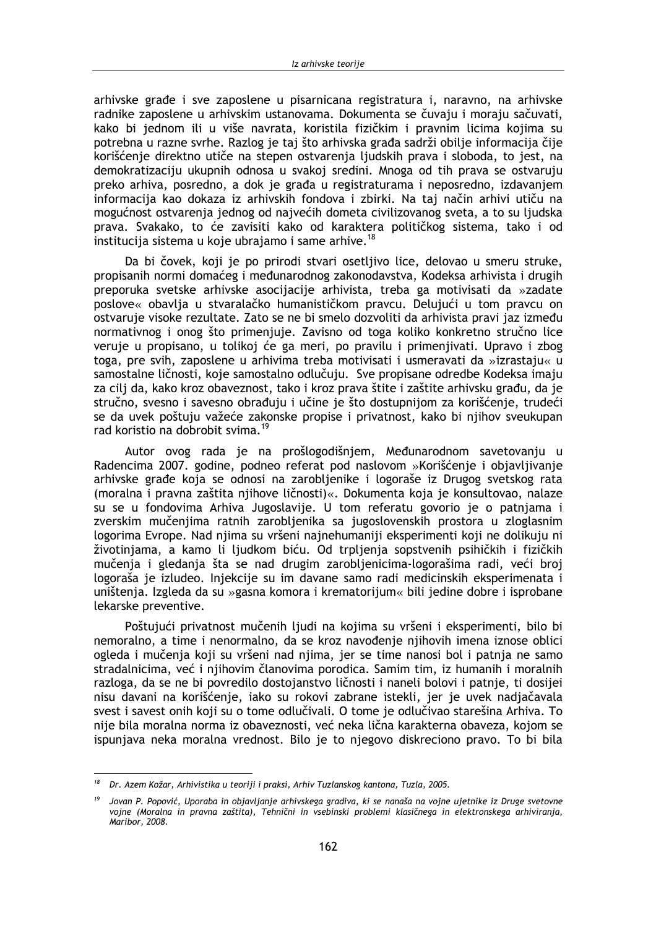arhivske građe i sve zaposlene u pisarnicana registratura i, naravno, na arhivske radnike zaposlene u arhivskim ustanovama. Dokumenta se čuvaju i moraju sačuvati, kako bi jednom ili u više navrata, koristila fizičkim i pravnim licima kojima su potrebna u razne svrhe. Razlog je taj što arhivska građa sadrži obilje informacija čije korišćenje direktno utiče na stepen ostvarenja ljudskih prava i sloboda, to jest, na demokratizaciju ukupnih odnosa u svakoj sredini. Mnoga od tih prava se ostvaruju preko arhiva, posredno, a dok je građa u registraturama i neposredno, izdavanjem informacija kao dokaza iz arhivskih fondova i zbirki. Na taj način arhivi utiču na mogućnost ostvarenja jednog od najvećih dometa civilizovanog sveta, a to su ljudska prava. Svakako, to će zavisiti kako od karaktera političkog sistema, tako i od institucija sistema u koje ubrajamo i same arhive.<sup>18</sup>

Da bi čovek, koji je po prirodi stvari osetljivo lice, delovao u smeru struke, propisanih normi domaćeg i međunarodnog zakonodavstva, Kodeksa arhivista i drugih preporuka svetske arhivske asocijacije arhivista, treba ga motivisati da »zadate poslove« obavlja u stvaralačko humanističkom pravcu. Delujući u tom pravcu on ostvaruje visoke rezultate. Zato se ne bi smelo dozvoliti da arhivista pravi jaz između normativnog i onog što primenjuje. Zavisno od toga koliko konkretno stručno lice veruje u propisano, u tolikoj će ga meri, po pravilu i primenjivati. Upravo i zbog toga, pre svih, zaposlene u arhivima treba motivisati i usmeravati da »izrastaju« u samostalne ličnosti, koje samostalno odlučuju. Sve propisane odredbe Kodeksa imaju za cilj da, kako kroz obaveznost, tako i kroz prava štite i zaštite arhivsku građu, da je stručno, svesno i savesno obrađuju i učine je što dostupnijom za korišćenje, trudeći se da uvek poštuju važeće zakonske propise i privatnost, kako bi njihov sveukupan rad koristio na dobrobit svima.<sup>19</sup>

Autor ovog rada je na prošlogodišnjem, Međunarodnom savetovanju u Radencima 2007, godine, podneo referat pod naslovom »Korišćenie i obiavlijvanje arhivske građe koja se odnosi na zarobljenike i logoraše iz Drugog svetskog rata (moralna i pravna zaštita njihove ličnosti)«. Dokumenta koja je konsultovao, nalaze su se u fondovima Arhiva Jugoslavije. U tom referatu govorio je o patnjama i zverskim mučenjima ratnih zarobljenika sa jugoslovenskih prostora u zloglasnim logorima Evrope. Nad niima su vršeni nainehumaniji eksperimenti koji ne dolikuju ni životiniama, a kamo li liudkom biću. Od trplienia sopstvenih psihičkih i fizičkih mučenja i gledanja šta se nad drugim zarobljenicima-logorašima radi, veći broj logoraša je izludeo. Injekcije su im davane samo radi medicinskih eksperimenata i uništenja. Izgleda da su »gasna komora i krematorijum« bili jedine dobre i isprobane lekarske preventive.

Poštujući privatnost mučenih ljudi na kojima su vršeni i eksperimenti, bilo bi nemoralno, a time i nenormalno, da se kroz navođenje njihovih imena iznose oblici ogleda i mučenja koji su vršeni nad njima, jer se time nanosi bol i patnja ne samo stradalnicima, već i njihovim članovima porodica. Samim tim, iz humanih i moralnih razloga, da se ne bi povredilo dostojanstvo ličnosti i naneli bolovi i patnie, ti dosijei nisu davani na korišćenje, jako su rokovi zabrane istekli, jer je uvek nadjačavala svest i savest onih koji su o tome odlučivali. O tome je odlučivao starešina Arhiva. To nije bila moralna norma iz obaveznosti, već neka lična karakterna obaveza, kojom se ispunjava neka moralna vrednost. Bilo je to njegovo diskreciono pravo. To bi bila

<sup>&</sup>lt;sup>18</sup> Dr. Azem Kožar, Arhivistika u teoriji i praksi, Arhiv Tuzlanskog kantona, Tuzla, 2005.

Jovan P. Popović, Uporaba in objavljanje arhivskega gradiva, ki se nanaša na vojne ujetnike iz Druge svetovne vojne (Moralna in pravna zaštita), Tehnični in vsebinski problemi klasičnega in elektronskega arhiviranja, Maribor, 2008.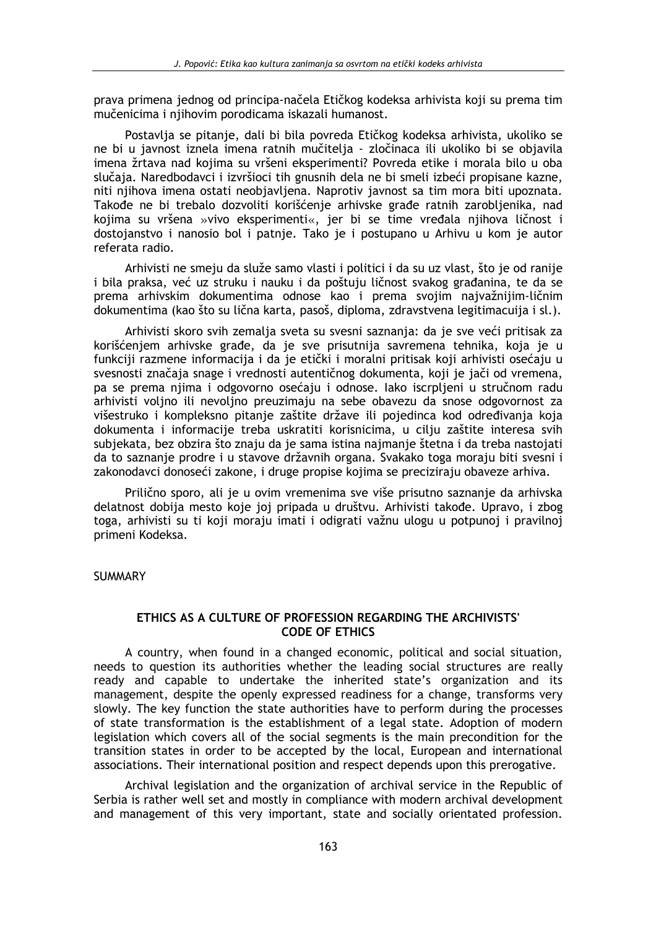prava primena jednog od principa-načela Etičkog kodeksa arhivista koji su prema tim mučenicima i njihovim porodicama iskazali humanost.

Postavlja se pitanje, dali bi bila povreda Etičkog kodeksa arhivista, ukoliko se ne bi u javnost iznela imena ratnih mučitelja - zločinaca ili ukoliko bi se objavila imena žrtava nad kojima su vršeni eksperimenti? Povreda etike i morala bilo u oba slučaja. Naredbodavci i izvršioci tih gnusnih dela ne bi smeli izbeći propisane kazne, niti njihova imena ostati neobjavljena. Naprotiv javnost sa tim mora biti upoznata. Takođe ne bi trebalo dozvoliti korišćenje arhivske građe ratnih zarobljenika, nad kojima su vršena »vivo eksperimenti«, jer bi se time vređala njihova ličnost i dostojanstvo i nanosio bol i patnje. Tako je i postupano u Arhivu u kom je autor referata radio.

Arhivisti ne smeju da služe samo vlasti i politici i da su uz vlast, što je od ranije i bila praksa, već uz struku i nauku i da poštuju ličnost svakog građanina, te da se prema arhivskim dokumentima odnose kao i prema svojim najvažnijim-ličnim dokumentima (kao što su lična karta, pasoš, diploma, zdravstvena legitimacujia i sl.).

Arhivisti skoro svih zemalja sveta su svesni saznanja: da je sve veći pritisak za korišćenjem arhivske građe, da je sve prisutnija savremena tehnika, koja je u funkciji razmene informacija i da je etički i moralni pritisak koji arhivisti osećaju u svesnosti značaja snage i vrednosti autentičnog dokumenta, koji je jači od vremena, pa se prema njima i odgovorno osećaju i odnose. Iako iscrpljeni u stručnom radu arhivisti volino ili nevolino preuzimaju na sebe obavezu da snose odgovornost za višestruko i kompleksno pitanje zaštite države ili pojedinca kod određivanja koja dokumenta i informacije treba uskratiti korisnicima, u cilju zaštite interesa svih subjekata, bez obzira što znaju da je sama istina najmanje štetna i da treba nastojati da to saznanje prodre i u stavove državnih organa. Svakako toga moraju biti svesni i zakonodavci donoseći zakone, i druge propise kojima se preciziraju obaveze arhiva.

Prilično sporo, ali je u ovim vremenima sve više prisutno saznanje da arhivska delatnost dobija mesto koje joj pripada u društvu. Arhivisti takođe. Upravo, i zbog toga, arhivisti su ti koji moraju imati i odigrati važnu ulogu u potpunoj i pravilnoj primeni Kodeksa.

**SUMMARY** 

# ETHICS AS A CULTURE OF PROFESSION REGARDING THE ARCHIVISTS' **CODE OF ETHICS**

A country, when found in a changed economic, political and social situation, needs to question its authorities whether the leading social structures are really ready and capable to undertake the inherited state's organization and its management, despite the openly expressed readiness for a change, transforms very slowly. The key function the state authorities have to perform during the processes of state transformation is the establishment of a legal state. Adoption of modern legislation which covers all of the social segments is the main precondition for the transition states in order to be accepted by the local, European and international associations. Their international position and respect depends upon this prerogative.

Archival legislation and the organization of archival service in the Republic of Serbia is rather well set and mostly in compliance with modern archival development and management of this very important, state and socially orientated profession.